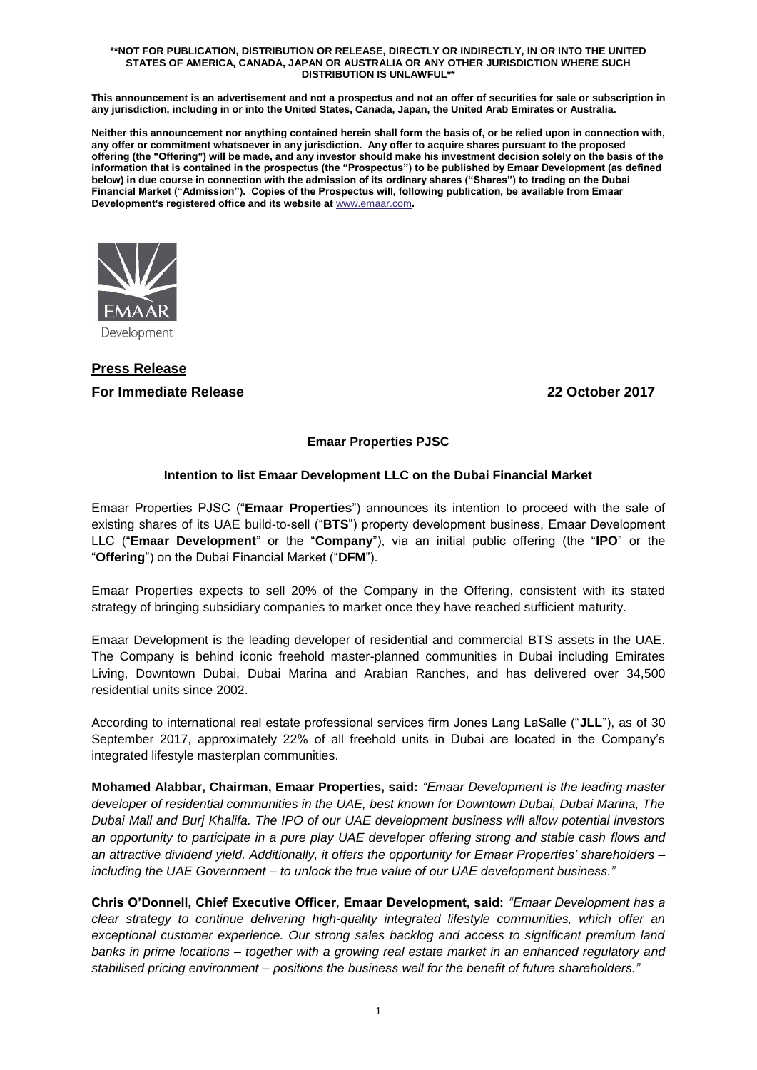#### **\*\*NOT FOR PUBLICATION, DISTRIBUTION OR RELEASE, DIRECTLY OR INDIRECTLY, IN OR INTO THE UNITED STATES OF AMERICA, CANADA, JAPAN OR AUSTRALIA OR ANY OTHER JURISDICTION WHERE SUCH DISTRIBUTION IS UNLAWFUL\*\***

**This announcement is an advertisement and not a prospectus and not an offer of securities for sale or subscription in any jurisdiction, including in or into the United States, Canada, Japan, the United Arab Emirates or Australia.**

**Neither this announcement nor anything contained herein shall form the basis of, or be relied upon in connection with, any offer or commitment whatsoever in any jurisdiction. Any offer to acquire shares pursuant to the proposed offering (the "Offering") will be made, and any investor should make his investment decision solely on the basis of the information that is contained in the prospectus (the "Prospectus") to be published by Emaar Development (as defined below) in due course in connection with the admission of its ordinary shares ("Shares") to trading on the Dubai Financial Market ("Admission"). Copies of the Prospectus will, following publication, be available from Emaar Development's registered office and its website at** [www.emaar.com](http://www.emaar.com/)**.**



# **Press Release For Immediate Release 22 October 2017**

### **Emaar Properties PJSC**

### **Intention to list Emaar Development LLC on the Dubai Financial Market**

Emaar Properties PJSC ("**Emaar Properties**") announces its intention to proceed with the sale of existing shares of its UAE build-to-sell ("**BTS**") property development business, Emaar Development LLC ("**Emaar Development**" or the "**Company**"), via an initial public offering (the "**IPO**" or the "**Offering**") on the Dubai Financial Market ("**DFM**").

Emaar Properties expects to sell 20% of the Company in the Offering, consistent with its stated strategy of bringing subsidiary companies to market once they have reached sufficient maturity.

Emaar Development is the leading developer of residential and commercial BTS assets in the UAE. The Company is behind iconic freehold master-planned communities in Dubai including Emirates Living, Downtown Dubai, Dubai Marina and Arabian Ranches, and has delivered over 34,500 residential units since 2002.

According to international real estate professional services firm Jones Lang LaSalle ("**JLL**"), as of 30 September 2017, approximately 22% of all freehold units in Dubai are located in the Company's integrated lifestyle masterplan communities.

**Mohamed Alabbar, Chairman, Emaar Properties, said:** *"Emaar Development is the leading master developer of residential communities in the UAE, best known for Downtown Dubai, Dubai Marina, The Dubai Mall and Burj Khalifa. The IPO of our UAE development business will allow potential investors an opportunity to participate in a pure play UAE developer offering strong and stable cash flows and an attractive dividend yield. Additionally, it offers the opportunity for Emaar Properties' shareholders – including the UAE Government – to unlock the true value of our UAE development business."*

**Chris O'Donnell, Chief Executive Officer, Emaar Development, said:** *"Emaar Development has a clear strategy to continue delivering high-quality integrated lifestyle communities, which offer an exceptional customer experience. Our strong sales backlog and access to significant premium land banks in prime locations – together with a growing real estate market in an enhanced regulatory and stabilised pricing environment – positions the business well for the benefit of future shareholders."*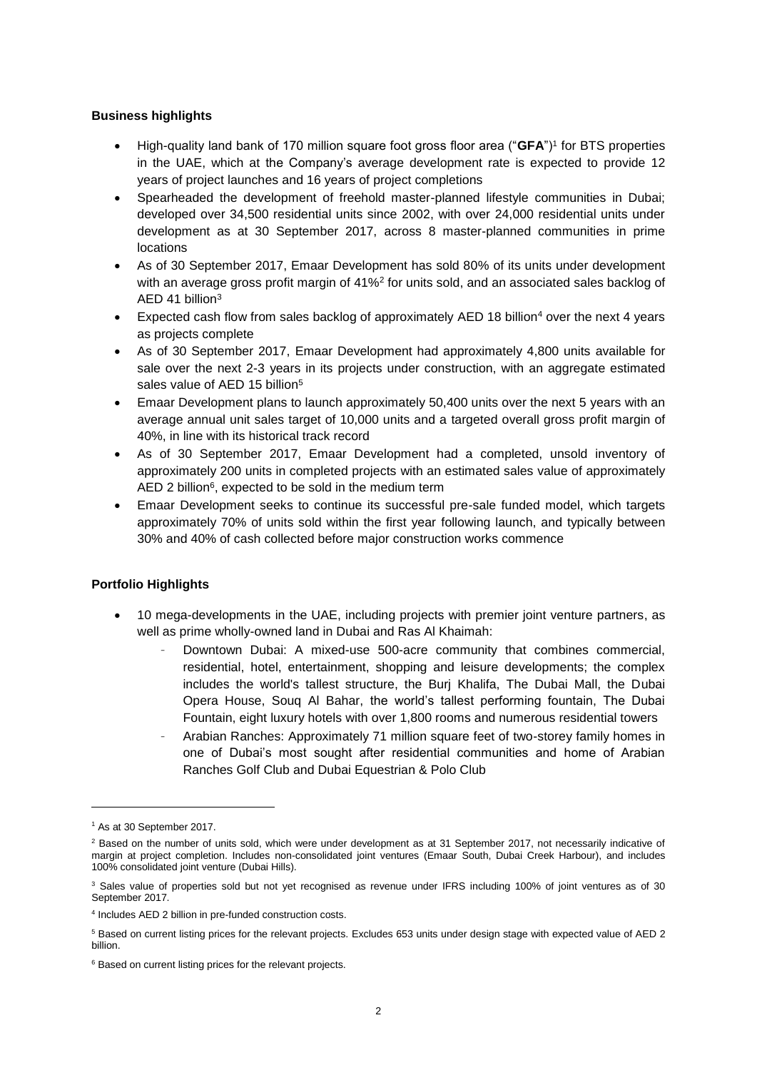### **Business highlights**

- High-quality land bank of 170 million square foot gross floor area ("**GFA**")<sup>1</sup> for BTS properties in the UAE, which at the Company's average development rate is expected to provide 12 years of project launches and 16 years of project completions
- Spearheaded the development of freehold master-planned lifestyle communities in Dubai; developed over 34,500 residential units since 2002, with over 24,000 residential units under development as at 30 September 2017, across 8 master-planned communities in prime locations
- As of 30 September 2017, Emaar Development has sold 80% of its units under development with an average gross profit margin of 41%<sup>2</sup> for units sold, and an associated sales backlog of AED 41 billion<sup>3</sup>
- Expected cash flow from sales backlog of approximately AED 18 billion<sup>4</sup> over the next 4 years as projects complete
- As of 30 September 2017, Emaar Development had approximately 4,800 units available for sale over the next 2-3 years in its projects under construction, with an aggregate estimated sales value of AED 15 billion<sup>5</sup>
- Emaar Development plans to launch approximately 50,400 units over the next 5 years with an average annual unit sales target of 10,000 units and a targeted overall gross profit margin of 40%, in line with its historical track record
- As of 30 September 2017, Emaar Development had a completed, unsold inventory of approximately 200 units in completed projects with an estimated sales value of approximately AED 2 billion<sup>6</sup>, expected to be sold in the medium term
- Emaar Development seeks to continue its successful pre-sale funded model, which targets approximately 70% of units sold within the first year following launch, and typically between 30% and 40% of cash collected before major construction works commence

## **Portfolio Highlights**

- 10 mega-developments in the UAE, including projects with premier joint venture partners, as well as prime wholly-owned land in Dubai and Ras Al Khaimah:
	- Downtown Dubai: A mixed-use 500-acre community that combines commercial, residential, hotel, entertainment, shopping and leisure developments; the complex includes the world's tallest structure, the Burj Khalifa, The Dubai Mall, the Dubai Opera House, Souq Al Bahar, the world's tallest performing fountain, The Dubai Fountain, eight luxury hotels with over 1,800 rooms and numerous residential towers
	- Arabian Ranches: Approximately 71 million square feet of two-storey family homes in one of Dubai's most sought after residential communities and home of Arabian Ranches Golf Club and Dubai Equestrian & Polo Club

-

<sup>1</sup> As at 30 September 2017.

<sup>&</sup>lt;sup>2</sup> Based on the number of units sold, which were under development as at 31 September 2017, not necessarily indicative of margin at project completion. Includes non-consolidated joint ventures (Emaar South, Dubai Creek Harbour), and includes 100% consolidated joint venture (Dubai Hills).

<sup>&</sup>lt;sup>3</sup> Sales value of properties sold but not yet recognised as revenue under IFRS including 100% of joint ventures as of 30 September 2017.

<sup>4</sup> Includes AED 2 billion in pre-funded construction costs.

<sup>5</sup> Based on current listing prices for the relevant projects. Excludes 653 units under design stage with expected value of AED 2 billion.

<sup>&</sup>lt;sup>6</sup> Based on current listing prices for the relevant projects.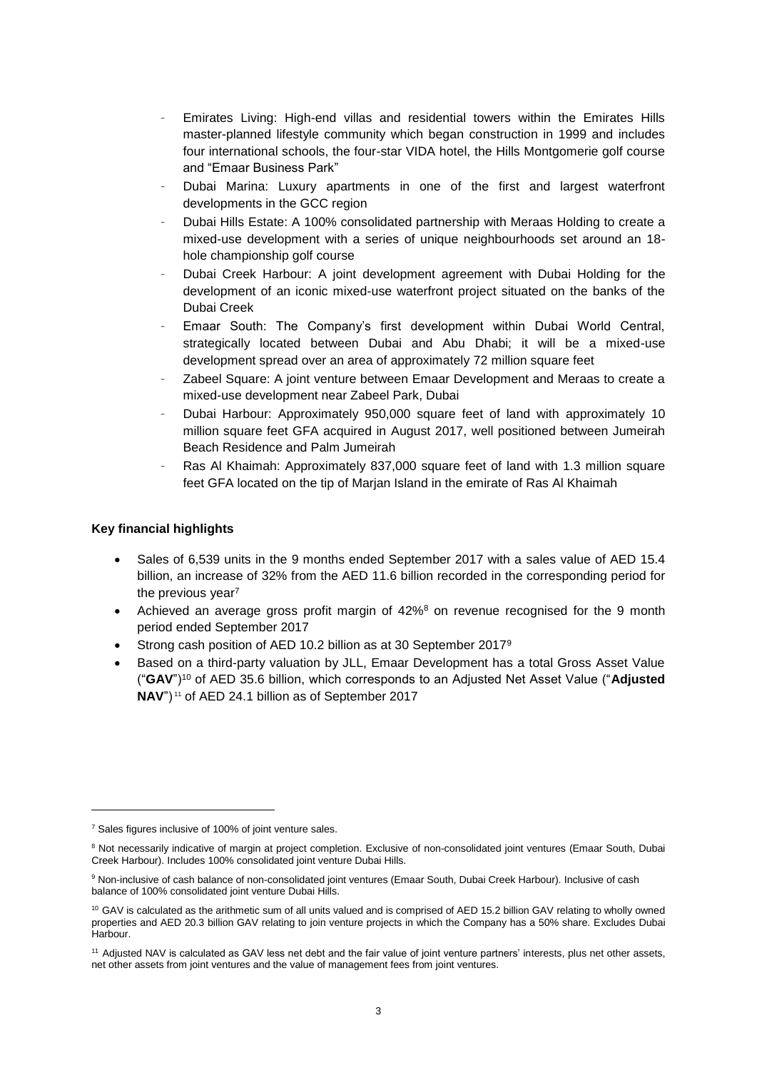- Emirates Living: High-end villas and residential towers within the Emirates Hills master-planned lifestyle community which began construction in 1999 and includes four international schools, the four-star VIDA hotel, the Hills Montgomerie golf course and "Emaar Business Park"
- Dubai Marina: Luxury apartments in one of the first and largest waterfront developments in the GCC region
- Dubai Hills Estate: A 100% consolidated partnership with Meraas Holding to create a mixed-use development with a series of unique neighbourhoods set around an 18 hole championship golf course
- Dubai Creek Harbour: A joint development agreement with Dubai Holding for the development of an iconic mixed-use waterfront project situated on the banks of the Dubai Creek
- Emaar South: The Company's first development within Dubai World Central, strategically located between Dubai and Abu Dhabi; it will be a mixed-use development spread over an area of approximately 72 million square feet
- Zabeel Square: A joint venture between Emaar Development and Meraas to create a mixed-use development near Zabeel Park, Dubai
- Dubai Harbour: Approximately 950,000 square feet of land with approximately 10 million square feet GFA acquired in August 2017, well positioned between Jumeirah Beach Residence and Palm Jumeirah
- Ras Al Khaimah: Approximately 837,000 square feet of land with 1.3 million square feet GFA located on the tip of Marjan Island in the emirate of Ras Al Khaimah

### **Key financial highlights**

- Sales of 6,539 units in the 9 months ended September 2017 with a sales value of AED 15.4 billion, an increase of 32% from the AED 11.6 billion recorded in the corresponding period for the previous year<sup>7</sup>
- Achieved an average gross profit margin of 42%<sup>8</sup> on revenue recognised for the 9 month period ended September 2017
- Strong cash position of AED 10.2 billion as at 30 September 2017<sup>9</sup>
- Based on a third-party valuation by JLL, Emaar Development has a total Gross Asset Value ("**GAV**")<sup>10</sup> of AED 35.6 billion, which corresponds to an Adjusted Net Asset Value ("**Adjusted NAV**") <sup>11</sup> of AED 24.1 billion as of September 2017

 $\overline{a}$ 

<sup>&</sup>lt;sup>7</sup> Sales figures inclusive of 100% of joint venture sales.

<sup>&</sup>lt;sup>8</sup> Not necessarily indicative of margin at project completion. Exclusive of non-consolidated joint ventures (Emaar South, Dubai Creek Harbour). Includes 100% consolidated joint venture Dubai Hills.

<sup>9</sup> Non-inclusive of cash balance of non-consolidated joint ventures (Emaar South, Dubai Creek Harbour). Inclusive of cash balance of 100% consolidated joint venture Dubai Hills.

<sup>&</sup>lt;sup>10</sup> GAV is calculated as the arithmetic sum of all units valued and is comprised of AED 15.2 billion GAV relating to wholly owned properties and AED 20.3 billion GAV relating to join venture projects in which the Company has a 50% share. Excludes Dubai Harbour.

<sup>&</sup>lt;sup>11</sup> Adjusted NAV is calculated as GAV less net debt and the fair value of joint venture partners' interests, plus net other assets, net other assets from joint ventures and the value of management fees from joint ventures.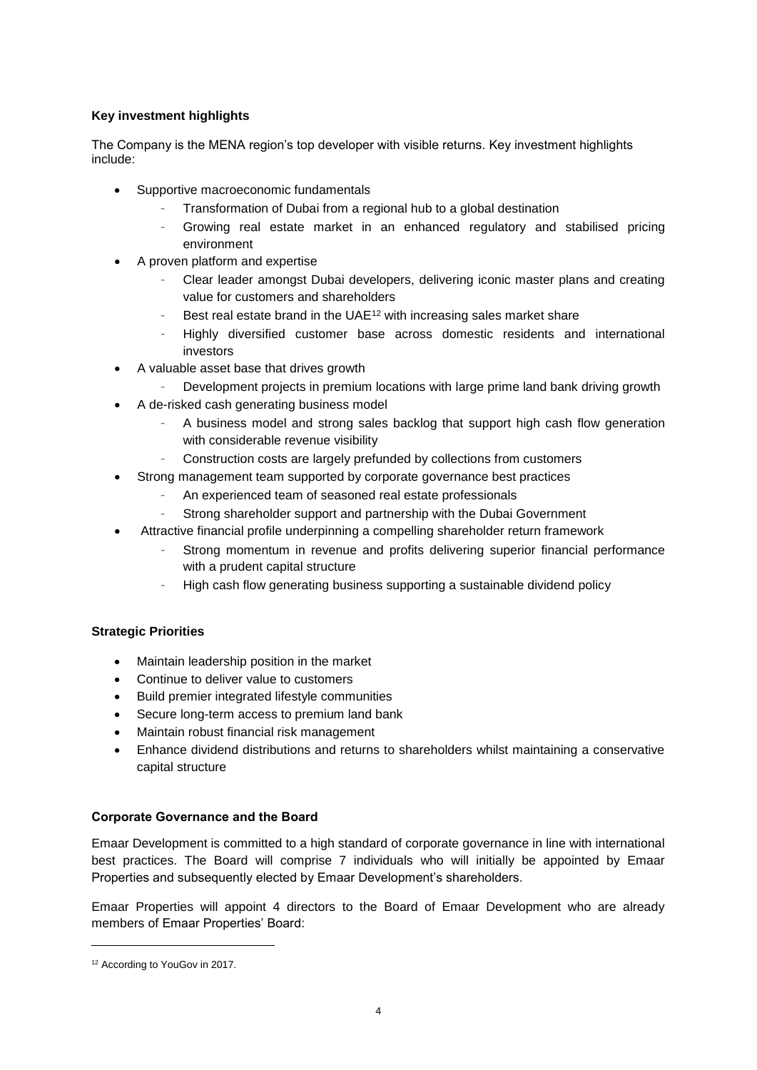### **Key investment highlights**

The Company is the MENA region's top developer with visible returns. Key investment highlights include:

- Supportive macroeconomic fundamentals
	- Transformation of Dubai from a regional hub to a global destination
	- Growing real estate market in an enhanced regulatory and stabilised pricing environment
- A proven platform and expertise
	- Clear leader amongst Dubai developers, delivering iconic master plans and creating value for customers and shareholders
	- Best real estate brand in the UAE<sup>12</sup> with increasing sales market share
	- Highly diversified customer base across domestic residents and international investors
- A valuable asset base that drives growth
	- Development projects in premium locations with large prime land bank driving growth
- A de-risked cash generating business model
	- A business model and strong sales backlog that support high cash flow generation with considerable revenue visibility
	- Construction costs are largely prefunded by collections from customers
- Strong management team supported by corporate governance best practices
	- An experienced team of seasoned real estate professionals
	- Strong shareholder support and partnership with the Dubai Government
	- Attractive financial profile underpinning a compelling shareholder return framework
		- Strong momentum in revenue and profits delivering superior financial performance with a prudent capital structure
		- High cash flow generating business supporting a sustainable dividend policy

### **Strategic Priorities**

- Maintain leadership position in the market
- Continue to deliver value to customers
- Build premier integrated lifestyle communities
- Secure long-term access to premium land bank
- Maintain robust financial risk management
- Enhance dividend distributions and returns to shareholders whilst maintaining a conservative capital structure

### **Corporate Governance and the Board**

Emaar Development is committed to a high standard of corporate governance in line with international best practices. The Board will comprise 7 individuals who will initially be appointed by Emaar Properties and subsequently elected by Emaar Development's shareholders.

Emaar Properties will appoint 4 directors to the Board of Emaar Development who are already members of Emaar Properties' Board:

 $\overline{a}$ 

<sup>&</sup>lt;sup>12</sup> According to YouGov in 2017.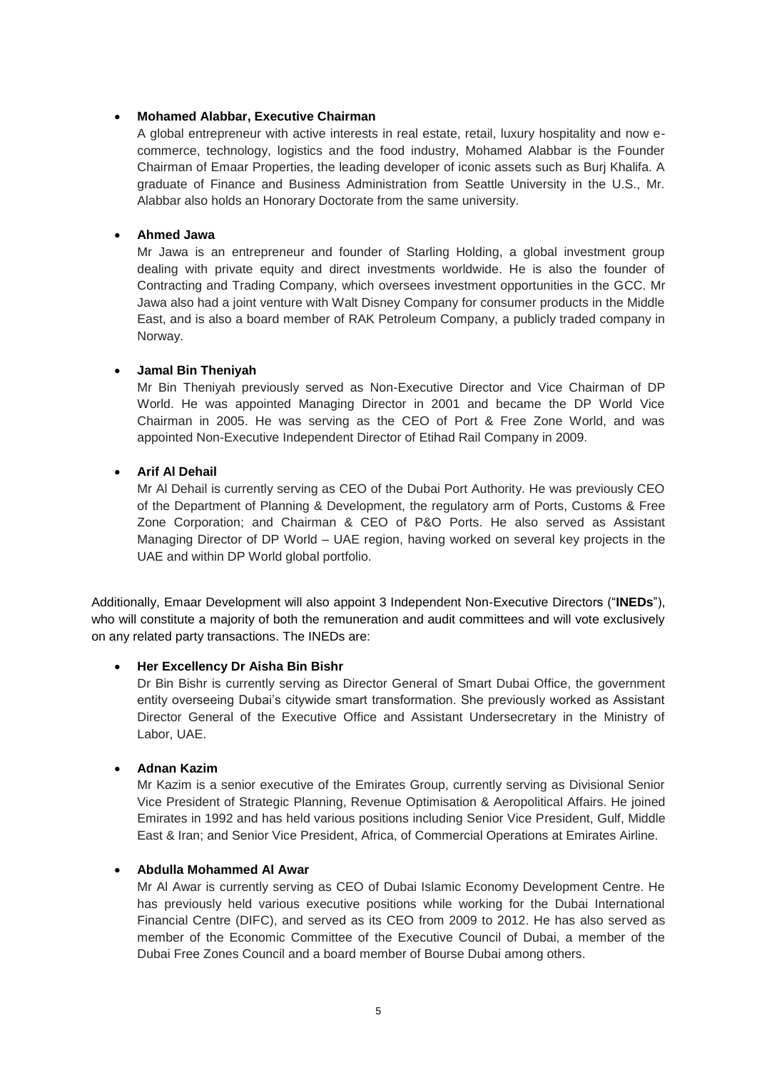### • **Mohamed Alabbar, Executive Chairman**

A global entrepreneur with active interests in real estate, retail, luxury hospitality and now ecommerce, technology, logistics and the food industry, Mohamed Alabbar is the Founder Chairman of Emaar Properties, the leading developer of iconic assets such as Burj Khalifa. A graduate of Finance and Business Administration from Seattle University in the U.S., Mr. Alabbar also holds an Honorary Doctorate from the same university.

### • **Ahmed Jawa**

Mr Jawa is an entrepreneur and founder of Starling Holding, a global investment group dealing with private equity and direct investments worldwide. He is also the founder of Contracting and Trading Company, which oversees investment opportunities in the GCC. Mr Jawa also had a joint venture with Walt Disney Company for consumer products in the Middle East, and is also a board member of RAK Petroleum Company, a publicly traded company in Norway.

#### • **Jamal Bin Theniyah**

Mr Bin Theniyah previously served as Non-Executive Director and Vice Chairman of DP World. He was appointed Managing Director in 2001 and became the DP World Vice Chairman in 2005. He was serving as the CEO of Port & Free Zone World, and was appointed Non-Executive Independent Director of Etihad Rail Company in 2009.

## • **Arif Al Dehail**

Mr Al Dehail is currently serving as CEO of the Dubai Port Authority. He was previously CEO of the Department of Planning & Development, the regulatory arm of Ports, Customs & Free Zone Corporation; and Chairman & CEO of P&O Ports. He also served as Assistant Managing Director of DP World – UAE region, having worked on several key projects in the UAE and within DP World global portfolio.

Additionally, Emaar Development will also appoint 3 Independent Non-Executive Directors ("**INEDs**"), who will constitute a majority of both the remuneration and audit committees and will vote exclusively on any related party transactions. The INEDs are:

### • **Her Excellency Dr Aisha Bin Bishr**

Dr Bin Bishr is currently serving as Director General of Smart Dubai Office, the government entity overseeing Dubai's citywide smart transformation. She previously worked as Assistant Director General of the Executive Office and Assistant Undersecretary in the Ministry of Labor, UAE.

#### • **Adnan Kazim**

Mr Kazim is a senior executive of the Emirates Group, currently serving as Divisional Senior Vice President of Strategic Planning, Revenue Optimisation & Aeropolitical Affairs. He joined Emirates in 1992 and has held various positions including Senior Vice President, Gulf, Middle East & Iran; and Senior Vice President, Africa, of Commercial Operations at Emirates Airline.

### • **Abdulla Mohammed Al Awar**

Mr Al Awar is currently serving as CEO of Dubai Islamic Economy Development Centre. He has previously held various executive positions while working for the Dubai International Financial Centre (DIFC), and served as its CEO from 2009 to 2012. He has also served as member of the Economic Committee of the Executive Council of Dubai, a member of the Dubai Free Zones Council and a board member of Bourse Dubai among others.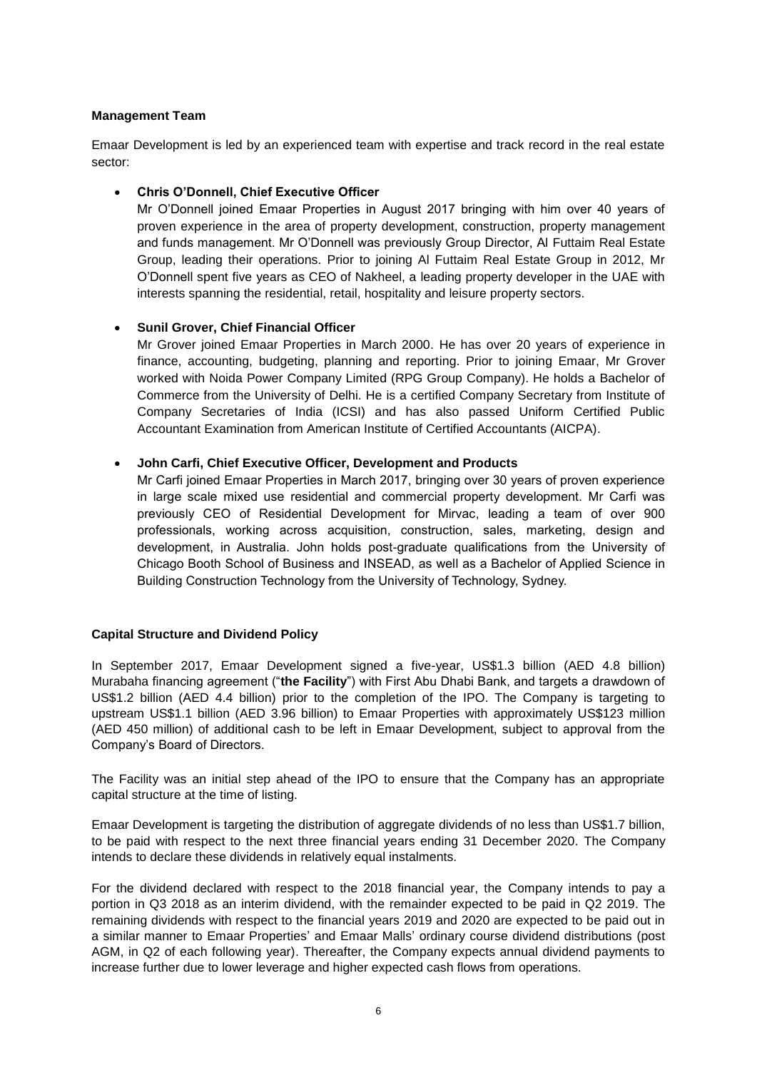### **Management Team**

Emaar Development is led by an experienced team with expertise and track record in the real estate sector:

### • **Chris O'Donnell, Chief Executive Officer**

Mr O'Donnell joined Emaar Properties in August 2017 bringing with him over 40 years of proven experience in the area of property development, construction, property management and funds management. Mr O'Donnell was previously Group Director, Al Futtaim Real Estate Group, leading their operations. Prior to joining Al Futtaim Real Estate Group in 2012, Mr O'Donnell spent five years as CEO of Nakheel, a leading property developer in the UAE with interests spanning the residential, retail, hospitality and leisure property sectors.

### • **Sunil Grover, Chief Financial Officer**

Mr Grover joined Emaar Properties in March 2000. He has over 20 years of experience in finance, accounting, budgeting, planning and reporting. Prior to joining Emaar, Mr Grover worked with Noida Power Company Limited (RPG Group Company). He holds a Bachelor of Commerce from the University of Delhi. He is a certified Company Secretary from Institute of Company Secretaries of India (ICSI) and has also passed Uniform Certified Public Accountant Examination from American Institute of Certified Accountants (AICPA).

#### • **John Carfi, Chief Executive Officer, Development and Products**

Mr Carfi joined Emaar Properties in March 2017, bringing over 30 years of proven experience in large scale mixed use residential and commercial property development. Mr Carfi was previously CEO of Residential Development for Mirvac, leading a team of over 900 professionals, working across acquisition, construction, sales, marketing, design and development, in Australia. John holds post-graduate qualifications from the University of Chicago Booth School of Business and INSEAD, as well as a Bachelor of Applied Science in Building Construction Technology from the University of Technology, Sydney.

### **Capital Structure and Dividend Policy**

In September 2017, Emaar Development signed a five-year, US\$1.3 billion (AED 4.8 billion) Murabaha financing agreement ("**the Facility**") with First Abu Dhabi Bank, and targets a drawdown of US\$1.2 billion (AED 4.4 billion) prior to the completion of the IPO. The Company is targeting to upstream US\$1.1 billion (AED 3.96 billion) to Emaar Properties with approximately US\$123 million (AED 450 million) of additional cash to be left in Emaar Development, subject to approval from the Company's Board of Directors.

The Facility was an initial step ahead of the IPO to ensure that the Company has an appropriate capital structure at the time of listing.

Emaar Development is targeting the distribution of aggregate dividends of no less than US\$1.7 billion, to be paid with respect to the next three financial years ending 31 December 2020. The Company intends to declare these dividends in relatively equal instalments.

For the dividend declared with respect to the 2018 financial year, the Company intends to pay a portion in Q3 2018 as an interim dividend, with the remainder expected to be paid in Q2 2019. The remaining dividends with respect to the financial years 2019 and 2020 are expected to be paid out in a similar manner to Emaar Properties' and Emaar Malls' ordinary course dividend distributions (post AGM, in Q2 of each following year). Thereafter, the Company expects annual dividend payments to increase further due to lower leverage and higher expected cash flows from operations.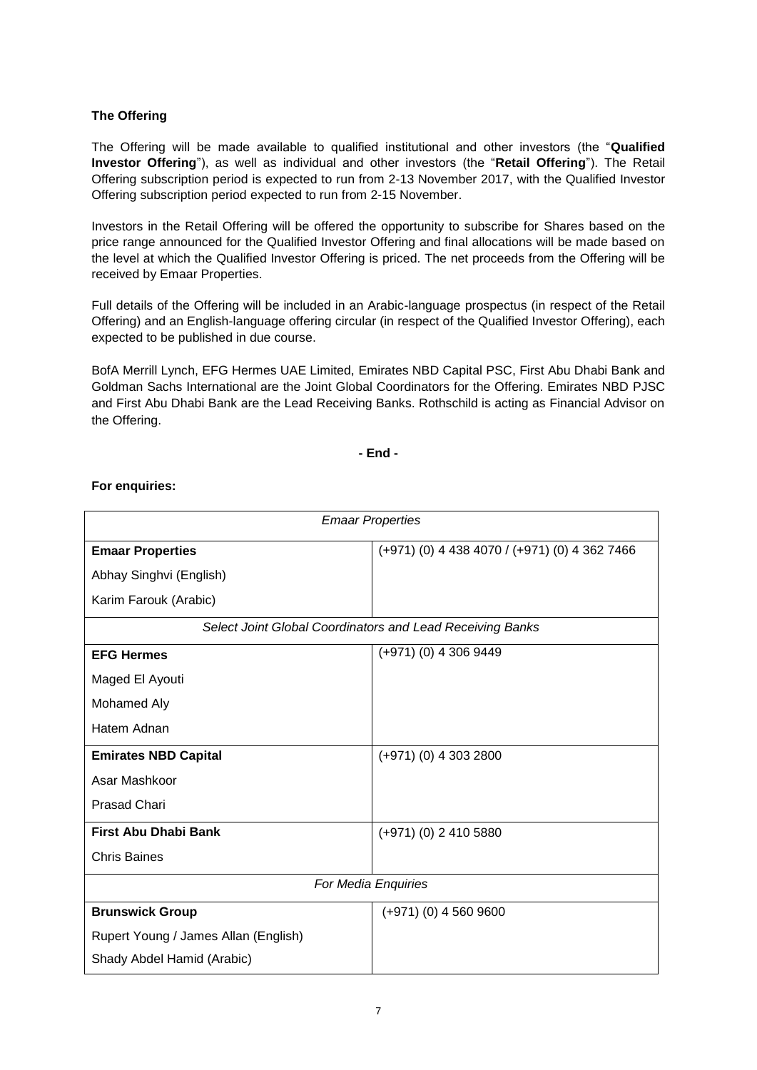### **The Offering**

The Offering will be made available to qualified institutional and other investors (the "**Qualified Investor Offering**"), as well as individual and other investors (the "**Retail Offering**"). The Retail Offering subscription period is expected to run from 2-13 November 2017, with the Qualified Investor Offering subscription period expected to run from 2-15 November.

Investors in the Retail Offering will be offered the opportunity to subscribe for Shares based on the price range announced for the Qualified Investor Offering and final allocations will be made based on the level at which the Qualified Investor Offering is priced. The net proceeds from the Offering will be received by Emaar Properties.

Full details of the Offering will be included in an Arabic-language prospectus (in respect of the Retail Offering) and an English-language offering circular (in respect of the Qualified Investor Offering), each expected to be published in due course.

BofA Merrill Lynch, EFG Hermes UAE Limited, Emirates NBD Capital PSC, First Abu Dhabi Bank and Goldman Sachs International are the Joint Global Coordinators for the Offering. Emirates NBD PJSC and First Abu Dhabi Bank are the Lead Receiving Banks. Rothschild is acting as Financial Advisor on the Offering.

**- End -**

### **For enquiries:**

| <b>Emaar Properties</b>                                   |                                               |
|-----------------------------------------------------------|-----------------------------------------------|
| <b>Emaar Properties</b>                                   | (+971) (0) 4 438 4070 / (+971) (0) 4 362 7466 |
| Abhay Singhvi (English)                                   |                                               |
| Karim Farouk (Arabic)                                     |                                               |
| Select Joint Global Coordinators and Lead Receiving Banks |                                               |
| <b>EFG Hermes</b>                                         | $(+971)$ (0) 4 306 9449                       |
| Maged El Ayouti                                           |                                               |
| Mohamed Aly                                               |                                               |
| Hatem Adnan                                               |                                               |
| <b>Emirates NBD Capital</b>                               | $(+971)$ (0) 4 303 2800                       |
| Asar Mashkoor                                             |                                               |
| <b>Prasad Chari</b>                                       |                                               |
| <b>First Abu Dhabi Bank</b>                               | $(+971)$ (0) 2 410 5880                       |
| <b>Chris Baines</b>                                       |                                               |
| For Media Enquiries                                       |                                               |
| <b>Brunswick Group</b>                                    | $(+971)$ (0) 4 560 9600                       |
| Rupert Young / James Allan (English)                      |                                               |
| Shady Abdel Hamid (Arabic)                                |                                               |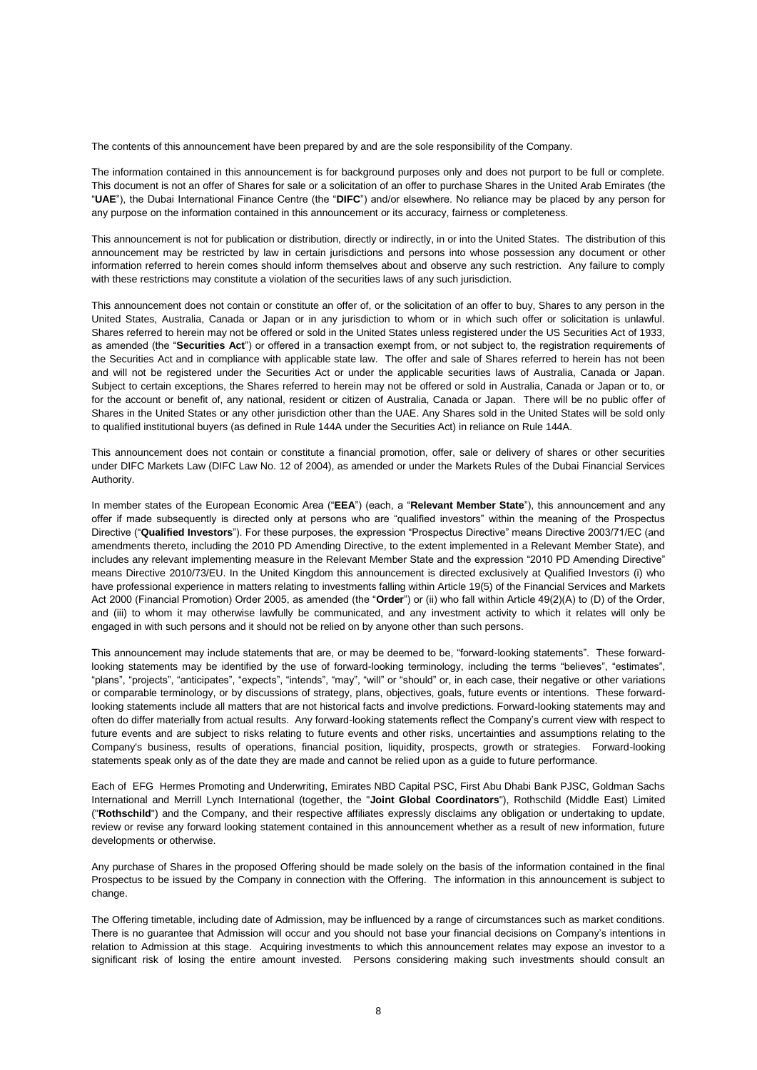The contents of this announcement have been prepared by and are the sole responsibility of the Company.

The information contained in this announcement is for background purposes only and does not purport to be full or complete. This document is not an offer of Shares for sale or a solicitation of an offer to purchase Shares in the United Arab Emirates (the "**UAE**"), the Dubai International Finance Centre (the "**DIFC**") and/or elsewhere. No reliance may be placed by any person for any purpose on the information contained in this announcement or its accuracy, fairness or completeness.

This announcement is not for publication or distribution, directly or indirectly, in or into the United States. The distribution of this announcement may be restricted by law in certain jurisdictions and persons into whose possession any document or other information referred to herein comes should inform themselves about and observe any such restriction. Any failure to comply with these restrictions may constitute a violation of the securities laws of any such jurisdiction.

This announcement does not contain or constitute an offer of, or the solicitation of an offer to buy, Shares to any person in the United States, Australia, Canada or Japan or in any jurisdiction to whom or in which such offer or solicitation is unlawful. Shares referred to herein may not be offered or sold in the United States unless registered under the US Securities Act of 1933, as amended (the "**Securities Act**") or offered in a transaction exempt from, or not subject to, the registration requirements of the Securities Act and in compliance with applicable state law. The offer and sale of Shares referred to herein has not been and will not be registered under the Securities Act or under the applicable securities laws of Australia, Canada or Japan. Subject to certain exceptions, the Shares referred to herein may not be offered or sold in Australia, Canada or Japan or to, or for the account or benefit of, any national, resident or citizen of Australia, Canada or Japan. There will be no public offer of Shares in the United States or any other jurisdiction other than the UAE. Any Shares sold in the United States will be sold only to qualified institutional buyers (as defined in Rule 144A under the Securities Act) in reliance on Rule 144A.

This announcement does not contain or constitute a financial promotion, offer, sale or delivery of shares or other securities under DIFC Markets Law (DIFC Law No. 12 of 2004), as amended or under the Markets Rules of the Dubai Financial Services Authority.

In member states of the European Economic Area ("**EEA**") (each, a "**Relevant Member State**"), this announcement and any offer if made subsequently is directed only at persons who are "qualified investors" within the meaning of the Prospectus Directive ("**Qualified Investors**"). For these purposes, the expression "Prospectus Directive" means Directive 2003/71/EC (and amendments thereto, including the 2010 PD Amending Directive, to the extent implemented in a Relevant Member State), and includes any relevant implementing measure in the Relevant Member State and the expression "2010 PD Amending Directive" means Directive 2010/73/EU. In the United Kingdom this announcement is directed exclusively at Qualified Investors (i) who have professional experience in matters relating to investments falling within Article 19(5) of the Financial Services and Markets Act 2000 (Financial Promotion) Order 2005, as amended (the "**Order**") or (ii) who fall within Article 49(2)(A) to (D) of the Order, and (iii) to whom it may otherwise lawfully be communicated, and any investment activity to which it relates will only be engaged in with such persons and it should not be relied on by anyone other than such persons.

This announcement may include statements that are, or may be deemed to be, "forward-looking statements". These forwardlooking statements may be identified by the use of forward-looking terminology, including the terms "believes", "estimates", "plans", "projects", "anticipates", "expects", "intends", "may", "will" or "should" or, in each case, their negative or other variations or comparable terminology, or by discussions of strategy, plans, objectives, goals, future events or intentions. These forwardlooking statements include all matters that are not historical facts and involve predictions. Forward-looking statements may and often do differ materially from actual results. Any forward-looking statements reflect the Company's current view with respect to future events and are subject to risks relating to future events and other risks, uncertainties and assumptions relating to the Company's business, results of operations, financial position, liquidity, prospects, growth or strategies. Forward-looking statements speak only as of the date they are made and cannot be relied upon as a guide to future performance.

Each of EFG Hermes Promoting and Underwriting, Emirates NBD Capital PSC, First Abu Dhabi Bank PJSC, Goldman Sachs International and Merrill Lynch International (together, the "**Joint Global Coordinators**"), Rothschild (Middle East) Limited ("**Rothschild**") and the Company, and their respective affiliates expressly disclaims any obligation or undertaking to update, review or revise any forward looking statement contained in this announcement whether as a result of new information, future developments or otherwise.

Any purchase of Shares in the proposed Offering should be made solely on the basis of the information contained in the final Prospectus to be issued by the Company in connection with the Offering. The information in this announcement is subject to change.

The Offering timetable, including date of Admission, may be influenced by a range of circumstances such as market conditions. There is no guarantee that Admission will occur and you should not base your financial decisions on Company's intentions in relation to Admission at this stage. Acquiring investments to which this announcement relates may expose an investor to a significant risk of losing the entire amount invested. Persons considering making such investments should consult an